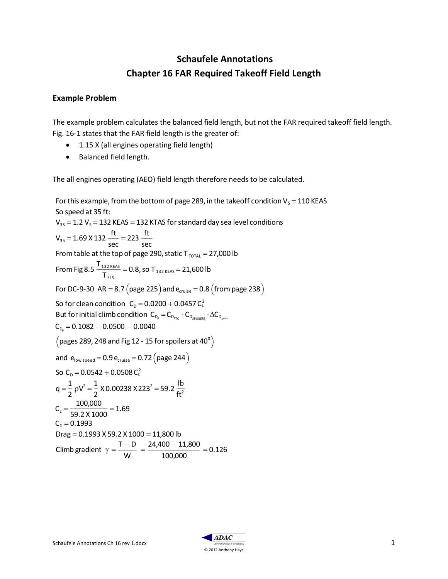## Schaufele Annotations Chapter 16 FAR Required Takeoff Field Length

## Example Problem

The example problem calculates the balanced field length, but not the FAR required takeoff field length. Fig. 16-1 states that the FAR field length is the greater of:

- 1.15 X (all engines operating field length)
- Balanced field length.

The all engines operating (AEO) field length therefore needs to be calculated.

For this example, from the bottom of page 289, in the takeoff condition  $V_s = 110$  KEAS So speed at 35 ft:  $V_{35}$  = 1.2 V<sub>s</sub> = 132 KEAS = 132 KTAS for standard day sea level conditions  $V_{35} = 1.69 \times 132 \frac{ft}{m}$ sec  $=$  223  $\frac{ft}{ }$ sec From table at the top of page 290, static  $T_{\text{total}} = 27,000$  lb From Fig 8.5  $\frac{T_{132 \text{ KEAS}}}{T}$  $\frac{132 \text{ KESS}}{T_{SLS}}$  = 0.8, so T  $_{132 \text{ KESS}}$  = 21,600 lb For DC-9-30 AR = 8.7 (page 225) and  $e_{\text{cruise}} = 0.8$  (from page 238) So for clean condition  $C_{\text{D}} = 0.0200 + 0.0457 C_{\text{L}}^2$ But for initial climb condition  $C_{_{D_{\rho}}} = C_{_{D_{\text{RTO}}}} - C_{_{D_{\text{SPOILERS}}}} - \Delta C_{_{D_{\text{gear}}}}$  $C_{D_P} = 0.1082 - 0.0500 - 0.0040$ (pages 289, 248 and Fig 12 - 15 for spoilers at  $40^{\circ}$ ) and  $e_{\text{low speed}} = 0.9 e_{\text{cruise}} = 0.72 (page 244)$ So  $C_D = 0.0542 + 0.0508 C_L^2$  $q = \frac{1}{2}$ 2  $\rho V^2 = \frac{1}{2}$  $\frac{1}{2}$  X 0.00238 X 223<sup>2</sup> = 59.2  $\frac{lb}{ft^2}$  $ft^2$  $C_{L} = \frac{100,000}{50,000,000}$  $\frac{100,000}{59.2 \times 1000} = 1.69$  $C_p = 0.1993$  $\text{Diag} = 0.1993 \text{ X } 59.2 \text{ X } 1000 = 11,800 \text{ lb}$ Climb gradient  $\gamma = \frac{T - D}{W}$ W  $=\frac{24,400 - 11,800}{2}$ 100,000  $= 0.126$